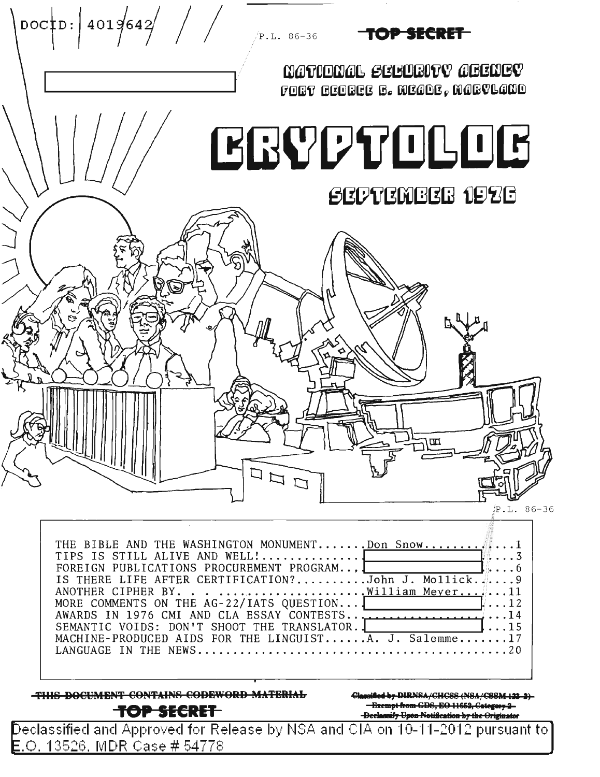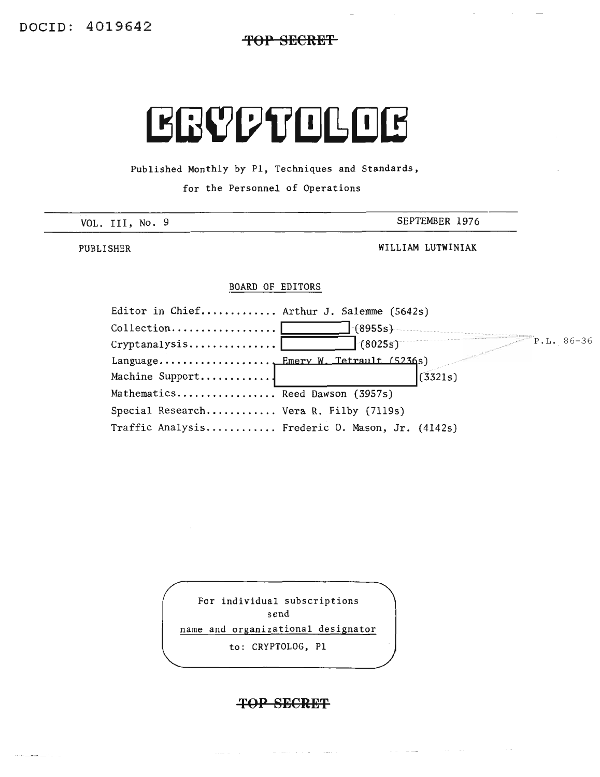DOCID: 4019642

**'fOP SECRE'f**

# **ERYPTOLOG**

Published Monthly by PI, Techniques and Standards,

for the Personnel of Operations

| VOL. III, No. 9                                 | SEPTEMBER 1976          |
|-------------------------------------------------|-------------------------|
| PUBLISHER                                       | WILLIAM LUTWINIAK       |
|                                                 | <b>BOARD OF EDITORS</b> |
| Editor in Chief Arthur J. Salemme (5642s)       |                         |
| $Collection \ldots \ldots \ldots \ldots \ldots$ | (8955s)                 |
| $Cryptanalysis$                                 | P.L. 86-36<br>(8025s)   |
| Language Emerv W. Tetrault (5236s)              |                         |

Machine Support..........  $Mathematics \ldots \ldots \ldots \ldots$ . Reed Dawson (3957s) Special Research........... Vera R. Filby (7119s) Traffic Analysis............ Frederic O. Mason, Jr.  $(4142s)$ 

> For individual subscriptions send name and organizational designator

> > to: CRYPTOLOG, PI

**TOP SECRET**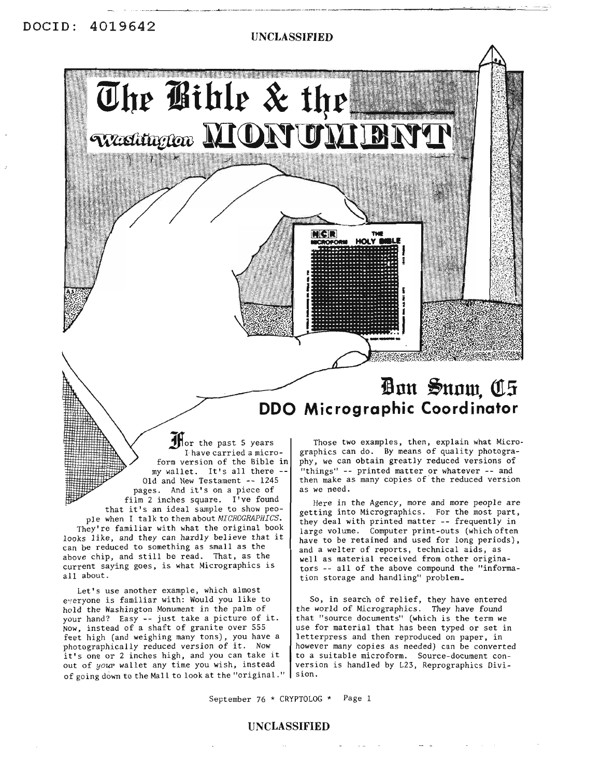**DOCIO: 4019642**

**UNCLASSIFIED**

---~,",.. ,--~-,-,------------,---",-----\_ ..\_-------------""'--'-----"--"---'-''---''''--'--



## **000 Micrographic Coordinator**

**for** the past 5 years I have carried a microform version of the Bible in my wallet. It's all there -- Old and New Testament -- 1245 pages. And it's on <sup>a</sup> piece of film 2 inches square. I've found that it's an ideal sample to show people when I talk to them about *MICROGRAPHICS.* They're familiar with what the original book looks like, and they can hardly believe that it can be reduced to something as small as the above chip, and still be read. That, as the current saying goes, is what Micrographics is all about.

Let's use another example, which almost everyone is familiar with: Would you like to hold the Washington Monument in the palm of your hand? Easy -- just take a picture of it. Now, instead of a shaft of granite over 555 feet high (and weighing many tons), you have a photographically reduced version of it. Now it's one or <sup>2</sup> inches high, and you can take it out of *your* wallet any time you wish, instead of going down to the Mall to look at the "original."

Those two examples, then, explain what Micrographics can do. By means of quality photography, we can obtain greatly reduced versions of "things" -- printed matter or whatever -- and then make as many copies of'the reduced version as we need.

Here in the Agency, more and more people are getting into Micrographics. For the most part, they deal with printed matter -- frequently in large volume. Computer print-outs (which often have to be retained and used for long periods), and a welter of reports, technical aids, as well as material received from other originators -- all of the above compound the "information storage and handling" problem\_

So, in search of relief, they have entered the world of Micrographics. They have found that "source documents" (which is the term we use for material that has been typed or set in letterpress and then reproduced on paper, in *however* many copies as needed) can be *converted* to a suitable microform. Source-document conversion is handled by L23, Reprographics Division.

September 76 \* CRYPTOLOG \* Page 1

### **UNCLASSIFIED**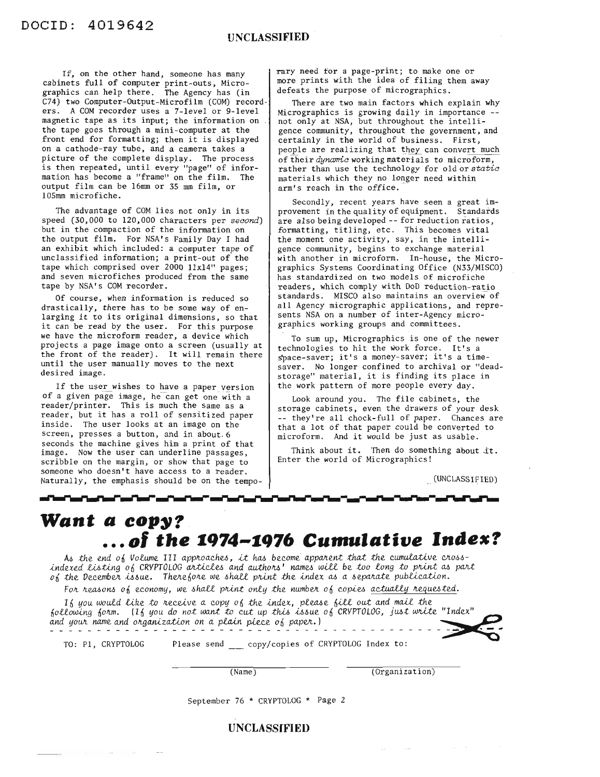If, on the other hand, someone has many cabinets full of computer print-outs, Micrographics can help there. The Agency has (in C74) two Computer-Output-Microfilm (COM) recorders. A COM recorder uses a 7-level or 9-level magnetic tape as its input; the information on the tape goes through a mini-computer at the front end for formatting; then it is displayed on a cathode-ray tube, and a camera takes a picture of the complete display. The process is then repeated, until every "page" of information has become a "frame" on the film. The output film can be 16mm or 35 mm film, or 105mm microfiche.

The advantage of COM lies not only in its speed (30,000 to 120,000 characters per *second)* but in the compaction of the information on the output film. For NSA's Family Day I had an exhibit which included: a computer tape of unclassified information; a print-out of the tape which comprised over 2000 llx14" pages; and seven microfiches produced from the same tape by NSA's COM recorder.

Of course, when information is reduced so drastically, there has to be some way of enlarging it to its original dimensions, so that iarging it to its original dimensions, so that<br>it can be read by the user. For this purpose we have the microform reader, a device which projects a page image onto a screen (usually at the front of the reader). It will remain there until the user manually moves to the next desired image.

If the user wishes to have a paper version of a given page image, he can get one with a reader/printer. This is much the same as a reader, but it has <sup>a</sup> roll of sensitized paper inside. The user looks at an image on the screen, presses a button, and in about. 6 seconds the machine gives him a print of that image. Now the user can underline passages, scribble on the margin, or show that page to someone who doesn't have access to a reader. Naturally, the emphasis should be on the temporary need for a page-print; to make one or more prints with the idea of filing them away defeats the purpose of micrographics.

There are two main factors which explain why Micrographics is growing daily in importance not only at NSA, but throughout the intelligence community, throughout the government, and certainly in the world of business. First, people are realizing that they can convert much of their *dynamic* working materials to microform, rather than use the technology for old or *static* materials which they no longer need within arm's reach in the office.

Secondly, recent years have seen a great improvement in the quality of equipment. Standards are also being developed -- for reduction ratios, formatting, titling, etc. This becomes vital the moment one activity, say, in the intelligence community, begins to exchange material with another in microform. In-house, the Micrographics Systems Coordinating Office (N33/MISCO) has standardized on two models of microfiche readers, which comply with DoD reduction-ratio standards. MISCO also maintains an overview of all Agency micrographic applications, and represents NSA on a number of inter-Agency micrographics working groups and committees.

To sum up, Micrographics is one of the newer technologies to hit the Work force. It's <sup>a</sup> space-saver; it's <sup>a</sup> money-saver; it's <sup>a</sup> timesaver. No longer confined to archival or "deadstorage" material, it is finding its place in the work pattern of more people every day.

Look around you. The file cabinets, the storage cabinets, even the drawers of your desk -- they're all chock-full of paper. Chances are that a lot of that paper could be converted to microform. And it would be just as usable.

Think about it. Then do something about .it. Enter the world of Micrographics!

. (UNCLASSIFIED)

### **Want a** copy? **...of the 1974-1976 Cumulative Index?**

As the end of Volume III approaches, it has become apparent that the cumulative crossindexed *fuling 06 CRYPTOLOG aJtlic.lu and authotu.>* <sup>I</sup> *namu will* be *tao lang to ptU.Y1.t* <sup>M</sup> *paJLt 06 the Vec.embeJt* i6!>ue. Thvz.e60tte we *!>hall ptU.nt* the *index* <sup>M</sup> *a !>epattate pubtic.ation.*

 $For$  reasons of economy, we shall print only the number of copies actually requested.

*16 you* would like to receive a copy of the index, please fill out and mail the If you would like to receive a copy of the index, please fill out and mail the<br>following form. (If you do not want to cut up this issue of CRYPTOLOG, just write "Index"

TO: PI, CRYPTOLOG Please send copy/copies of CRYPTOLOG Index to:

(Name)

(Organization)

September 76 \* CRYPTOLOG \* Page 2

**UNCLASSIFIED**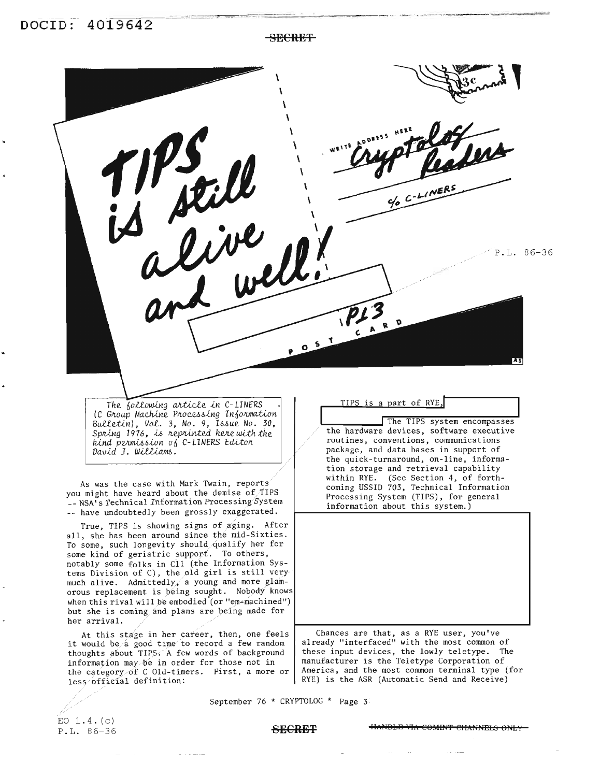**SBCRB'f**



EO 1.4. (c)

P.L. 86-36 **SECRET JIANBbE VIA 8SPdHJ'f' 8IIAPJHBh8 aNL <sup>j</sup>**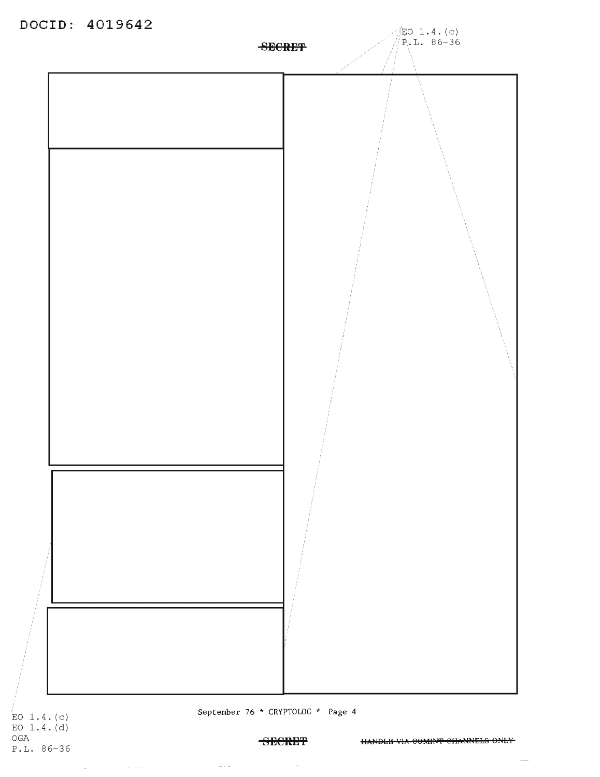

EO 1.4. (d) OGA P.L. 86-36

 $\mathcal{L}(\mathcal{A})$  and  $\mathcal{L}(\mathcal{A})$  are the contracted of

 $\sim 10^7$ 

**SECRET HANDLE VIA COMINT CHANNELS ONLY**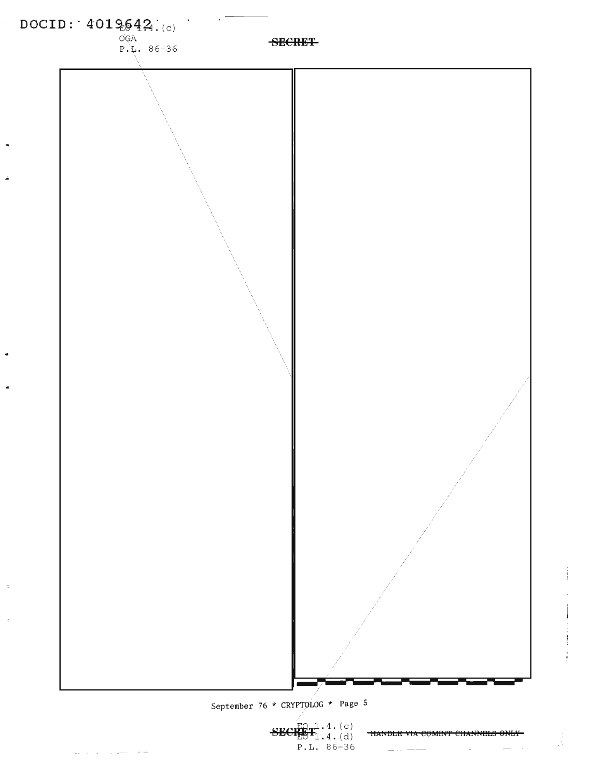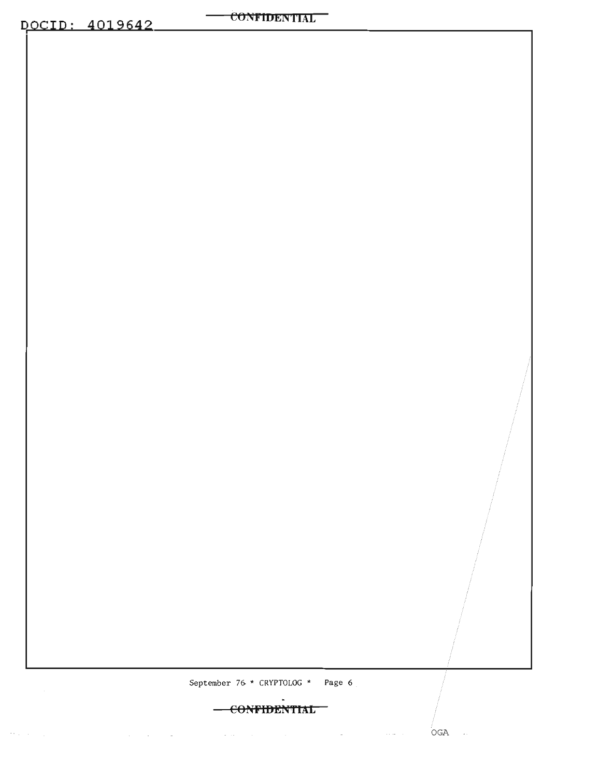September 76 \* CRYPTOLOG \* Page 6

### CONFIDENTIAL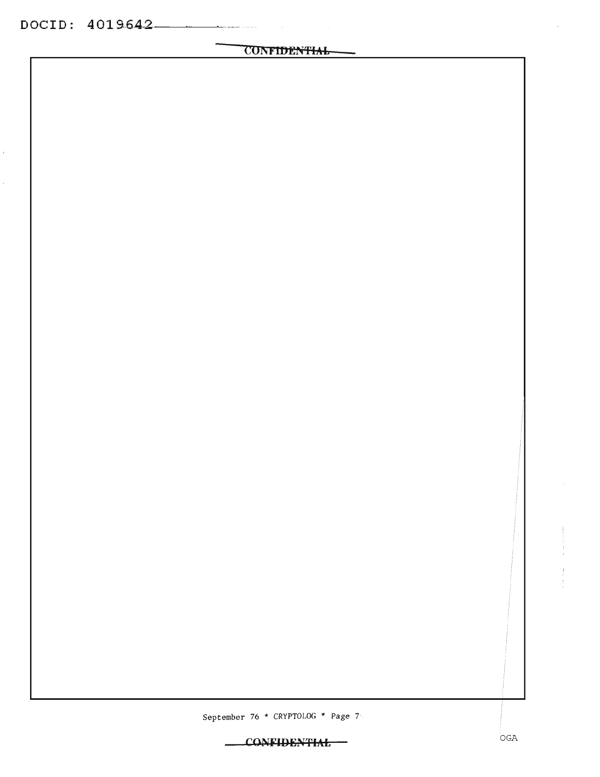$\hat{\epsilon}$ 

 $\hat{\mathcal{L}}$ 

CONFIDENTIAL-

September 76 \* CRYPTOLOG \* Page 7.

CONFIDENTIAL-

OGA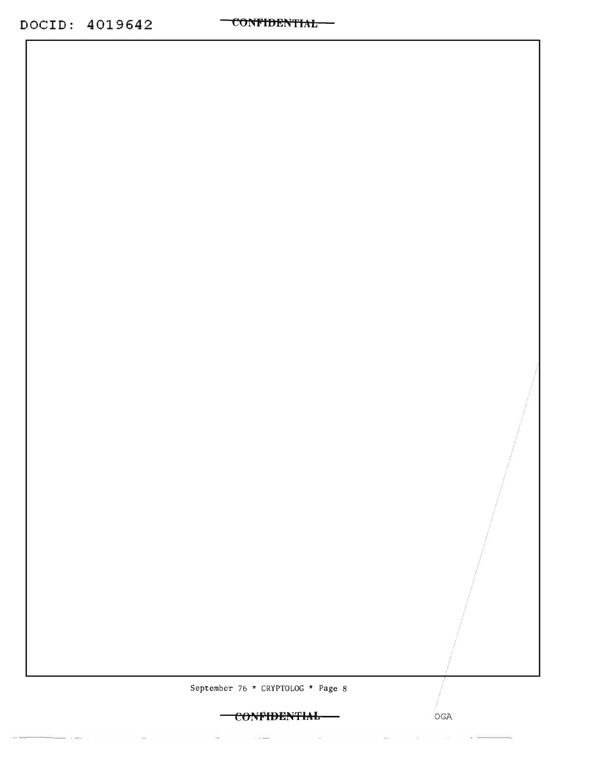September 76 \* CRYPTOLOG \* Page 8

CONFIDENTIAL

OGA

 $\sim$   $\sim$ 

**College** 

V.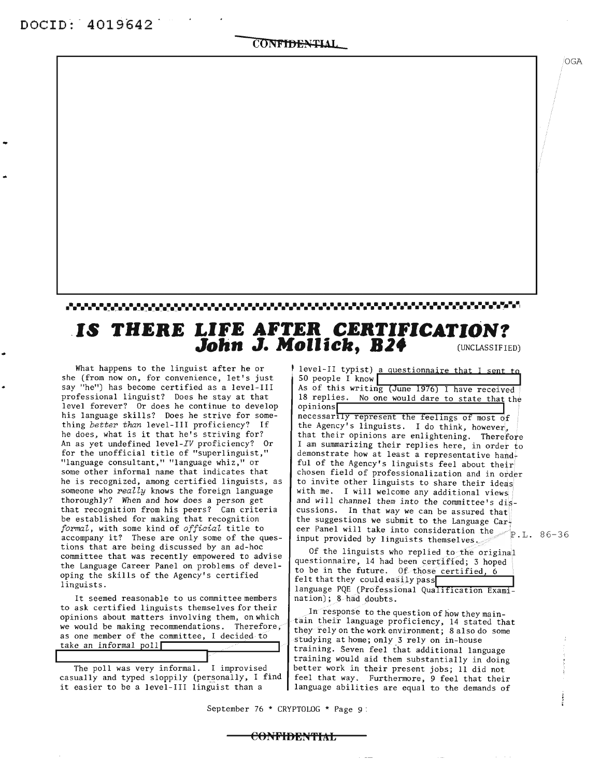DOCID: 4019642

### **CONFIDENTIAL**

### <u> കാര്യുകളുകളുകളുകളുകളുകളുകളുകളുകളുകളു</u> IS THERE LIFE AFTER CERTIFICATION? John J. Mollick, B24 (UNCLASSIFIED)

What happens to the linguist after he or she (from now on, for convenience, let's just say "he") has become certified as a level-III professional linguist? Does he stay at that level forever? Or does he continue to develop his language skills? Does he strive for something better than level-III proficiency? If he does, what is it that he's striving for? An as yet undefined level-IV proficiency? Or for the unofficial title of "superlinguist," "language consultant," "language whiz," or some other informal name that indicates that he is recognized, among certified linguists, as someone who really knows the foreign language thoroughly? When and how does a person get that recognition from his peers? Can criteria be established for making that recognition formal, with some kind of official title to accompany it? These are only some of the questions that are being discussed by an ad-hoc committee that was recently empowered to advise the Language Career Panel on problems of developing the skills of the Agency's certified linguists.

It seemed reasonable to us committee members to ask certified linguists themselves for their opinions about matters involving them, on which we would be making recommendations. Therefore, as one member of the committee, I decided to take an informal poll  $\Gamma$ 

The poll was very informal. I improvised casually and typed sloppily (personally, I find it easier to be a level-III linguist than a

level-II typist) a questionnaire that I sent to 50 people I know

As of this writing (June 1976) I have received 18 replies. No one would dare to state that the opinions necessarily represent the feelings of most of the Agency's linguists. I do think, however, that their opinions are enlightening. Therefore I am summarizing their replies here, in order to demonstrate how at least a representative hand ful of the Agency's linguists feel about their chosen field of professionalization and in order to invite other linguists to share their ideas with me. I will welcome any additional views and will channel them into the committee's discussions. In that way we can be assured that the suggestions we submit to the Language Career Panel will take into consideration the P.L. 86-36 input provided by linguists themselves,

Of the linguists who replied to the original questionnaire, 14 had been certified; 3 hoped to be in the future. Of those certified, 6 felt that they could easily pass language PQE (Professional Qualification Examination); 8 had doubts.

In response to the question of how they maintain their language proficiency, 14 stated that<br>they rely on the work environment; 8 also do some studying at home; only 3 rely on in-house training. Seven feel that additional language training would aid them substantially in doing better work in their present jobs; 11 did not feel that way. Furthermore, 9 feel that their language abilities are equal to the demands of

September 76 \* CRYPTOLOG \* Page 9:

OGA

<del>CONFIDENTIAL -</del>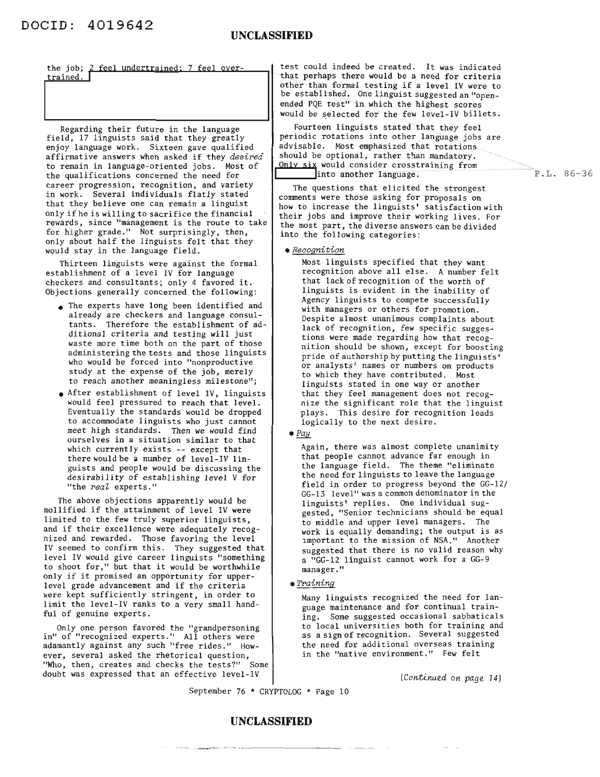|          | the job; 2 feel undertrained; 7 feel over- |  |  |
|----------|--------------------------------------------|--|--|
| trained. |                                            |  |  |

Regarding their future in the language field, 17 linguists said that they greatly enjoy language work. Sixteen gave qualified affirmative answers when asked if they *desired* to remain in language-oriented jobs. Most of the qualifications concerned the need for career progression, recognition, and variety in work. Several individuals flatly stated that they believe one can remain a linguist only if he is willing to sacrifice the financial rewards, since "management is the route to take for higher grade." Not surprisingly, then, only about half the linguists felt that they would stay in the language field.

Thirteen linguists were against the formal establishment of a level IV for language checkers and consultants; only <sup>4</sup> favored it. Objections generally concerned the following:

- The experts have long been identified and already are checkers and language consultants. Therefore the establishment of additional criteria and testing will just waste more time both on the part of those administering the tests and those linguists who would be forced into "nonproductive study at the expense of the job, merely to reach another meaningless milestone";
- After establishment of level IV, linguists would feel pressured to reach that level. Eventually the standards would be dropped to accommodate linguists who just cannot meet high standards. Then we would find ourselves in a situation similar to that which currently exists -- except that there would be a number of level-IV linguists and people would be discussing the desirability of establishing level *V* for "the real experts."

The above objections apparently would be mollified if the attainment of level *IV* were limited to the few truly superior linguists, and if their excellence were adequately recognized and rewarded. Those favoring the level IV seemed to confirm this. They suggested that level IV would give career linguists "something to shoot for," but that it would be worthwhile only if it promised an opportunity for upperlevel grade advancement and if the criteria were kept sufficiently stringent, in order to limit the level-IV ranks to a very small handful of genuine experts.

Only one person favored the "grandpersoning in" of "recognized experts." All others were adamantly against any such "free rides." However, several asked the rhetorical question, "Who, then, creates and checks the tests?" Some doubt was expressed that an effective level-IV

and a comment of advanced

test could indeed be created. It was indicated that perhaps there would be a need for criteria other than formal testing if a level IV were to be established. One linguist suggested an "openended PQE test" in which the highest scores would be selected for the few level-IV billets.

Fourteen linguists stated that they feel periodic rotations into other language jobs are advisable. Most emphasized that rotations should be optional, rather than mandatory. Only six would consider crosstraining from

The questions that elicited the strongest comments were those asking for proposals on how to increase the linguists' satisfaction with their jobs and improve their working lives. For the most part, the diverse answers can be divided into the following categories:

#### *• Reaognition*

Most linguists specified that they want recognition above all else. A number felt that lack of recognition of the worth of linguists is evident in the inability of Agency linguists to compete successfully with managers or others for promotion. Despite almost unanimous complaints about lack of recognition, few specific suggestions were made regarding how that recognition should be shown, except for boosting pride of authorship by putting the linguists' or analysts' names or numbers on products to which they have contributed. Most linguists stated in one way or another that they feel management does not recognize the significant role that the linguist plays. This desire for recognition leads logically to the next desire.

#### $\bullet$  Pay

Again, there was almost complete unanimity that people cannot advance far enough in the language field. The theme "eliminate the need for linguists to leave the language field in order to progress beyond the GG-12/ GG-13 level" was a common denominator in the linguists' replies. One individual suggested, "Senior technicians should be equal to middle and upper level managers. The work is equally demanding; the output is as important to the mission of NSA." Another suggested that there is no valid reason why a "GG-12 linguist cannot work for a GG-9 manager."

### *• Training*

Many linguists recognized the need for language maintenance and for continual training. Some suggested occasional sabbaticals to local universities both for training and as <sup>a</sup> sign of recognition. Several suggested the need for additional overseas training in the "native environment." Few felt

*{Continued on page* 14J

September 76 \* CRYPTOLOG \* Page 10

### **UNCLASSIFIED**

P.L. 86-36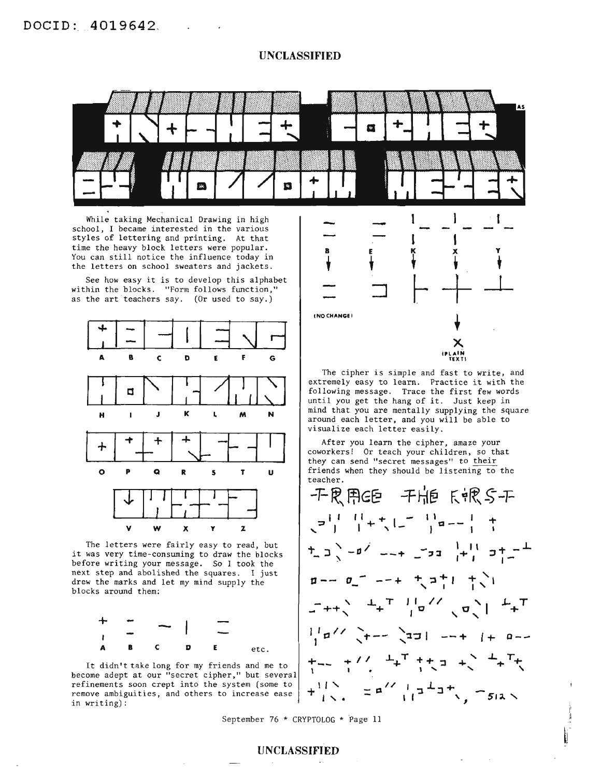**UNCLASSIFIED**



X **TEX TI**

The cipher is simple and fast to write, and extremely easy to learn. Practice it with the following message. Trace the first few words until you get the hang of it. Just keep in mind that you are mentally supplying the square around each letter, and you will be able to visualize each letter easily.

After you learn the cipher, amaze your coworkers! Or teach your children, so that they can send "secret messages" to their friends when they should be listening to the teacher.



Ì

school, I became interested in the various styles of lettering and printing. At that time the heavy block letters were popular. You can still notice the influence today in the letters on school sweaters and jackets.

 $\sim$ 

within the blocks. "Form follows function,"



The letters were fairly easy to read, but it was very time-consuming to draw the blocks before writing your message. So I took the next step and abolished the squares. I just drew the marks and let my mind supply the blocks around them:



It didn't take long for my friends and me to become adept at our "secret cipher," but several refinements soon crept into the system (some to remove ambiguities, and others to increase ease in writing):

September 76 \* CRYPTOLOG \* Page 11

### **UNCLASSIFIED**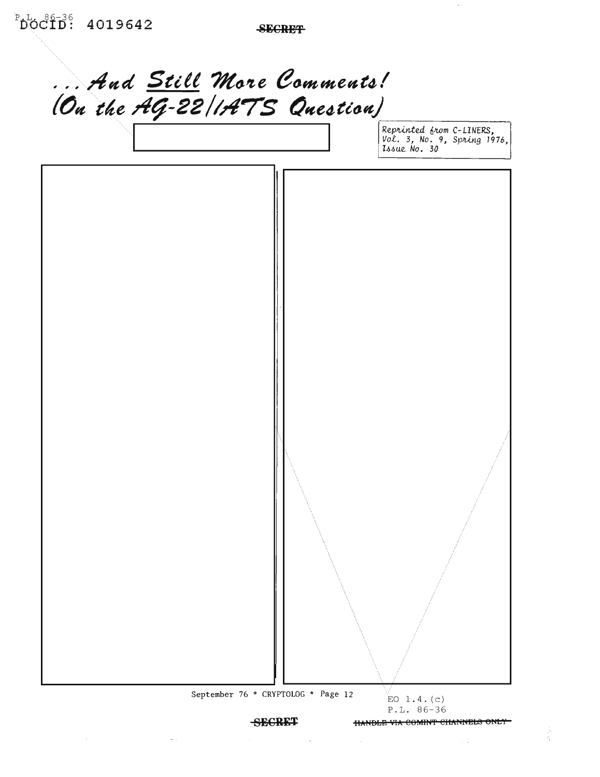

ł,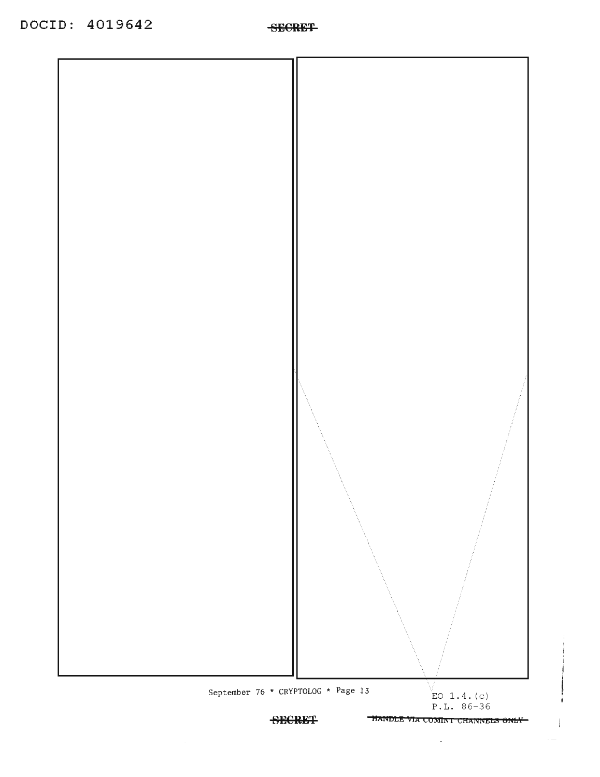

 $\frac{1}{2}$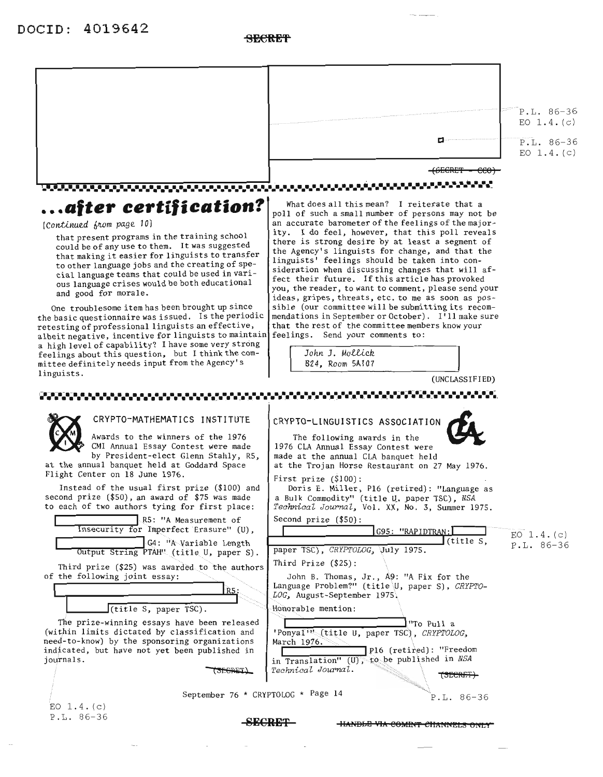### **SECRET**



### .**. .,. ................... .......................** \_... •••••••••••••••••••••••••• **••••••••••••••iii •** ••••••••••••••••••••••••••••••

### **.. .after eertifieation1**

*[Continued from page 10]* 

that present programs in the training school that present programs in the training school.<br>could be of any use to them. It was suggested could be of any use to them. It was suggested<br>that making it easier for linguists to transfer to other language jobs and the creating of special language teams that could be used in varicial language teams that could be used in vall<br>ous language crises would be both educational ous language crises we<br>and good for morale.

One troublesome item has been brought up since the basic questionnaire was issued. Is the periodic retesting of professional linguists an effective, albeit negative, incentive for linguists to maintain a high level of capability? I have some very strong feelings about this question. but I think the comreelings about this question, but I think the committee of the committee of the Committee of the Agency's mittee der:<br>Linguists

What does all this mean? I reiterate that a poll of such a small number of persons may not be an accurate barometer of the feelings of the majority. I do feel, however, that this poll reveals there is strong desire by at least a segment of the Agency's linguists for change. and that the linguists' feelings should be taken into consideration when discussing changes that will affect their future. If this article has provoked you. the reader, to want to comment, please send your ideas, gripes, threats, etc. to me as soon as possible (our committee will be submitting its recommendations in September or October). I'll make sure that the rest of the committee members know your feelings. Send your comments to:

Doris E. Miller, Pl6 (retired): "Language as boris L: Miller, Tho (retired). Languagned Bulk Commodity" (title U. paper TSC), NSA *Technical Journal,* Vol. XX, No.3, Summer 1975.

made at the annual can banquet held<br>at the Trojan Horse Restaurant on 27 May 1976.

John B. Thomas, Jr., A9: "A Fix for the Language Problem?" (title \U, paper S), *CRYPTO-*

'Ponyal'~' (title U, paper TSC), *CRYPTOLOG,*

in Translation"  $(U)$ , to be published in NSA

John J. Mollick *B24. Room 5Al07*

The following awards in the 1976 CLA Annual Essay Contest were made at the annual CLA banquet held

paper TSC) , *CRYPTOLOG,* July 1975.

*LOG,* August-September 1975.

CRYPTO-LINGUISTICS ASSOCIATION

First prize (\$100):

Second prize (\$50):

Third Prize (\$25):

Honorable mention:

*Technical Journal.*

March 1976.

(UNCLASSIFIED)

EO  $1.4. (c)$ P.L. 86-36

### I~••••••••••••••••••••••••••••••••••••••••••••• ••••••••••••••••••••••••• ••••••••••••••••••• ••••••••••• ••**••••••••••••••••**



CRYPTO-MATHEMATICS INSTITUTE<br>Awards to the winners of the 1976<br>CMI Annual Essay Contest were made<br>by President-elect Glenn Stahly, R Awards to the winners of the 1976 I CMI Annual Essay Contest were made by President-elect Glenn Stahly, R5. at the annual banquet held at Goddard Space Flight Center on 18 June 1976.

Instead of the usual first prize (\$100) and second prize (\$50), an award of \$75 was made to each of two authors tying for first place:

| R5: "A Measurement of<br>Insecurity for Imperfect Erasure" (U),                |
|--------------------------------------------------------------------------------|
| G4: "A Variable Length"<br>Output String PTAH" (title U, paper S).             |
| Third prize (\$25) was awarded to the authors<br>of the following joint essay: |
|                                                                                |

### (title S, paper TSC).

The prize-winning essays have been released (within limits dictated by Classification and need-to-know) by the sponsoring organizations indicated, but have not yet been published in journals.

EO 1.4. (c) P.L. 86-36

 $S_{\rm ECRET-}$ 

 $(SEERET)$ 

September 76 \* CRYPTOLOG \* Page 14 P.L. 86-36

"(SEERCT)-

l(title S.

<del>-IIANDLE VIA COMINT CHANNELS ONL'</del>

**L''To Pull a** 

! !P16 (retired): "Freedom

G95: "RAPIDTRAN: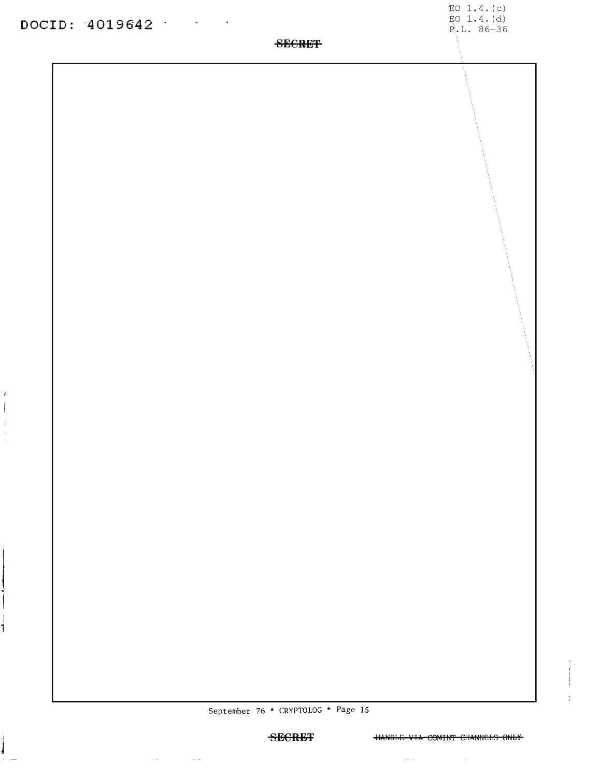| DOCID: 4019642 | $\bullet$<br><b>SECRET</b>         | EO $1.4. (c)$<br>EO $1.4.$ (d)<br>$P. L. 86-36$ |
|----------------|------------------------------------|-------------------------------------------------|
|                |                                    |                                                 |
|                |                                    |                                                 |
|                | September 76 * CRYPTOLOG * Page 15 |                                                 |

 $\boldsymbol{t}$ 

 $\begin{array}{c} \begin{array}{c} \text{ }\\ \text{ }\\ \text{ }\\ \text{ }\\ \text{ }\\ \text{ }\\ \end{array} \end{array}$ 

 $\overline{1}$ 

 $\frac{1}{\sqrt{2}}$ 

 $\overline{\phantom{a}}$ 1

 $\begin{aligned} \mathbf{B} & \mathbf{B} & \mathbf{B} & \mathbf{B} & \mathbf{B} & \mathbf{B} & \mathbf{B} & \mathbf{B} & \mathbf{B} & \mathbf{B} & \mathbf{B} & \mathbf{B} & \mathbf{B} & \mathbf{B} & \mathbf{B} & \mathbf{B} & \mathbf{B} & \mathbf{B} & \mathbf{B} & \mathbf{B} & \mathbf{B} & \mathbf{B} & \mathbf{B} & \mathbf{B} & \mathbf{B} & \mathbf{B} & \mathbf{B} & \mathbf{B} & \mathbf{B} & \mathbf{B} & \mathbf{B$ 

### **SECRET**

 $\Delta\omega_{\rm{eff}}=0.01$  and  $\Delta\omega_{\rm{eff}}$ 

 $\sim$   $\sim$ 

 $\overline{a}$ 

 $\frac{1}{\epsilon}$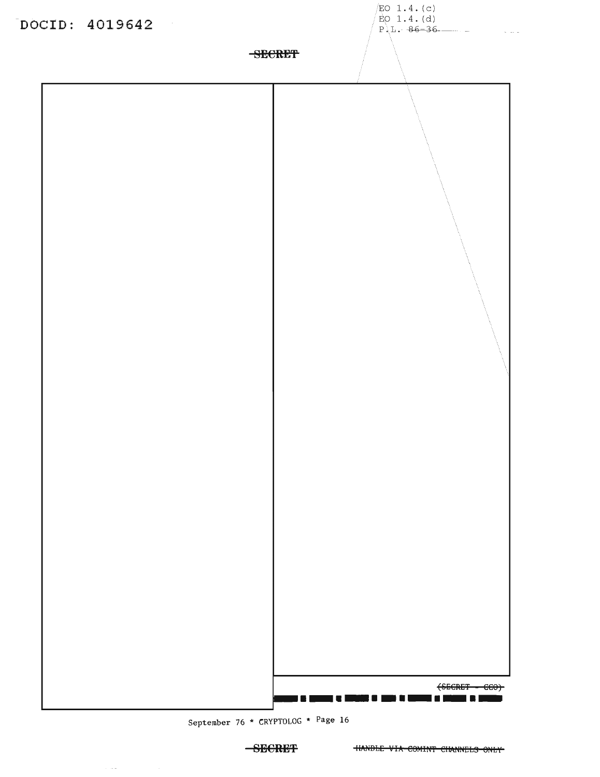

September 76 \* CRYPTOLOG \* Page 16

 $\alpha$  ,  $\alpha$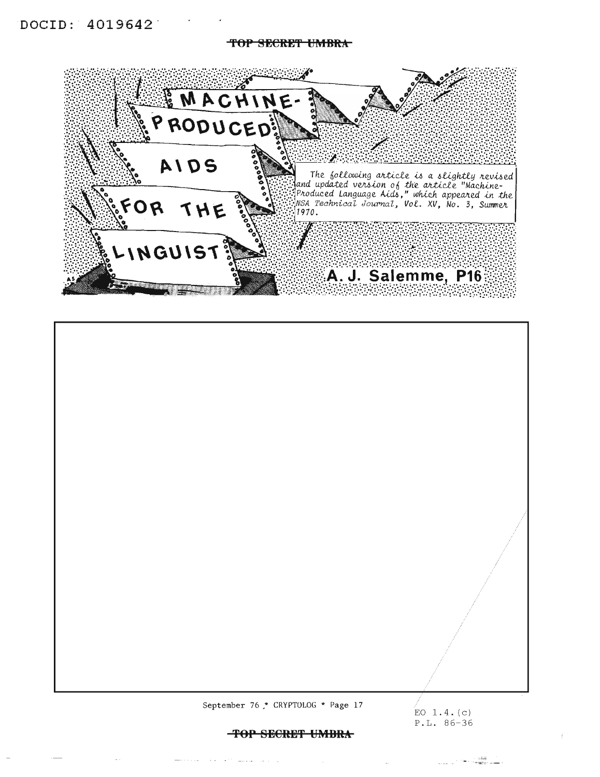### $DOCID: 4019642$

### $\frac{1}{100}$  **SECRET UMBRA**



September 76 \* CRYPTOLOG \* Page 17

فتتشارك والمحارب والمحارب

// EO 1.4. (c) P.L. 86-36

### **'fOP SE€RE'f UMBR2\**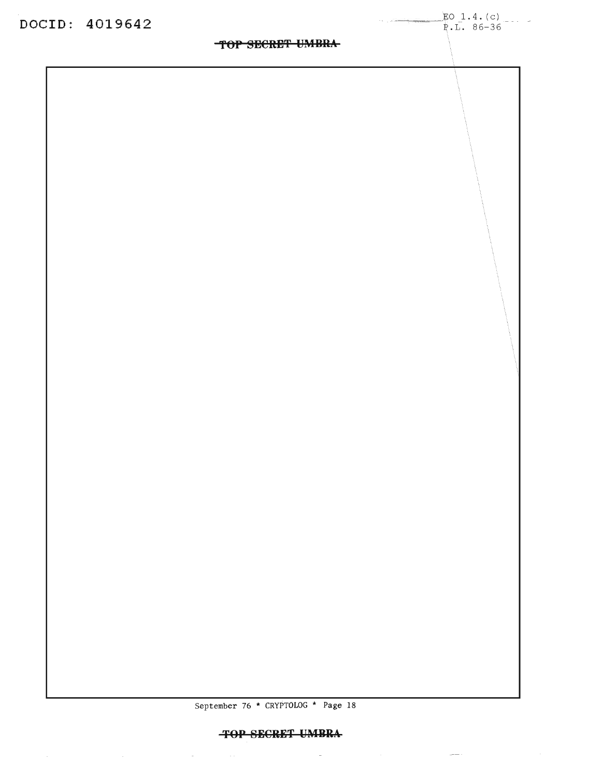| DOCID: 4019642 | TOP SECRET UMBRA-                  | $EO$ 1.4.(c) - - -<br>$R$ , L. 86-36<br>$\sim 100$ and $\sim 100$ |
|----------------|------------------------------------|-------------------------------------------------------------------|
|                |                                    |                                                                   |
|                |                                    |                                                                   |
|                |                                    |                                                                   |
|                |                                    |                                                                   |
|                |                                    |                                                                   |
|                |                                    |                                                                   |
|                |                                    |                                                                   |
|                |                                    |                                                                   |
|                |                                    |                                                                   |
|                |                                    |                                                                   |
|                |                                    |                                                                   |
|                |                                    |                                                                   |
|                |                                    |                                                                   |
|                |                                    |                                                                   |
|                |                                    |                                                                   |
|                |                                    |                                                                   |
|                |                                    |                                                                   |
|                |                                    |                                                                   |
|                |                                    |                                                                   |
|                |                                    |                                                                   |
|                |                                    |                                                                   |
|                | September 76 * CRYPTOLOG * Page 18 |                                                                   |

**TOP SECRET UMBK....**

 $\sim$ 

 $\mathcal{L}_{\mathcal{A}}$ 

 $\frac{1}{2} \frac{1}{2} \frac{1}{2} \frac{1}{2} \frac{1}{2} \frac{1}{2} \frac{1}{2} \frac{1}{2} \frac{1}{2} \frac{1}{2} \frac{1}{2} \frac{1}{2} \frac{1}{2} \frac{1}{2} \frac{1}{2} \frac{1}{2} \frac{1}{2} \frac{1}{2} \frac{1}{2} \frac{1}{2} \frac{1}{2} \frac{1}{2} \frac{1}{2} \frac{1}{2} \frac{1}{2} \frac{1}{2} \frac{1}{2} \frac{1}{2} \frac{1}{2} \frac{1}{2} \frac{1}{2} \frac{$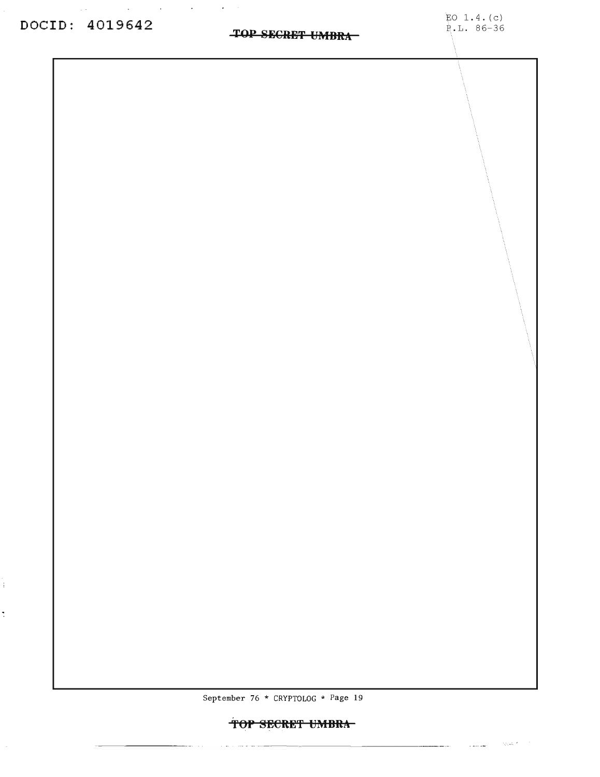$\sim 10^{-1}$ 

ţ.

ķ,

 $\hat{\mathcal{A}}$ 

 $\sim 10^{-11}$ 

### $\overline{TOP}$  **SECRET UMBRA**

 $\mathcal{L}^{\mathcal{L}}(\mathcal{L}^{\mathcal{L}})$  and  $\mathcal{L}^{\mathcal{L}}(\mathcal{L}^{\mathcal{L}})$  and  $\mathcal{L}^{\mathcal{L}}(\mathcal{L}^{\mathcal{L}})$ 

 $EO 1.4. (c)$ P.L. 86-36

 $\frac{1}{\sqrt{2\pi}\sqrt{2\pi}t}$  , where  $\frac{1}{\sqrt{2\pi}\sqrt{2\pi}t}$  ,  $\frac{1}{\sqrt{2\pi}\sqrt{2\pi}t}$  ,  $\frac{1}{\sqrt{2\pi}\sqrt{2\pi}t}$  ,  $\frac{1}{\sqrt{2\pi}\sqrt{2\pi}t}$ 

September 76 \* CRYPTOLOG \* Page 19

 $\hat{r}$  , and  $\hat{r}$  , where  $\hat{r}$  is the first

**TOP SECRET UMBRA**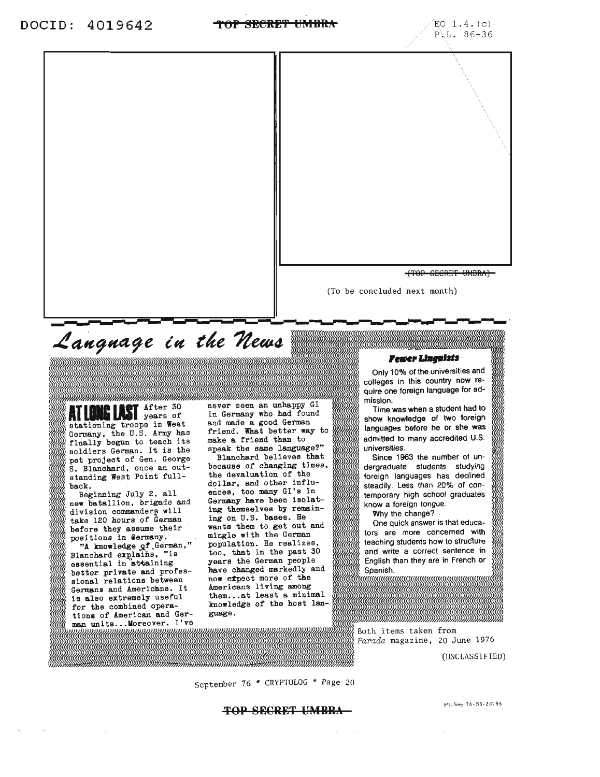

### Language in the News

After 30  $\frac{1}{2}$  years of stationing troops in West Germany, the U.S. Army has finally begun to teach its soldiers German. It is the pet project of Gen. George S. Blanchard, once an out-<br>standing West Point fullback.

Beginning July 2, all new batallion, brigade and division commanders will take 120 hours of German before they assume their positions in Germany.

"A knowledge of German," Blanchard explains, "is essential in attaining better private and professional relations between Germans and Americans. It is also extremely useful for the combined operations of American and German units... Moreover. I've

<u> Manaman Manaman Manaman Manaman Ma</u>

never seen an unhappy GI in Germany who had found and made a good German friend. What better way to make a friend than to speak the same language?"

a ka wakazi wakazi wa wakazi wa wakazi wa wakazi wa wakazi wa wakazi wa wakazi wa wakazi wa wakazi wa wakazi w

Blanchard believes that because of changing times. the devaluation of the dollar, and other influences, too many GI's in Germany have been isolating themselves by remaining on U.S. bases. He wants them to get out and mingle with the German population. He realizes too, that in the past 30 years the German people have changed markedly and now expect more of the Americans living among them...at least a minimal knowledge of the host language.

#### **Fewer Linguists**

Only 10% of the universities and colleges in this country now require one foreign language for admission.

Time was when a student had to show knowledge of two foreign languages before he or she was admitted to many accredited U.S. universities.

Since 1963 the number of undergraduate students studying foreign languages has declined steadily. Less than 20% of contemporary high school graduates know a foreign tongue.

Why the change?

,,,,,,,,,,,,,,,,,,,

One quick answer is that educators are more concerned with teaching students how to structure and write a correct sentence in English than they are in French or Spanish.

Both items taken from Parade magazine, 20 June 1976

(UNCLASSIFIED)

September 76 \* CRYPTOLOG \* Page 20

**TOP SECRET UMBRA** 

Pl-Sep 76-S3-24788